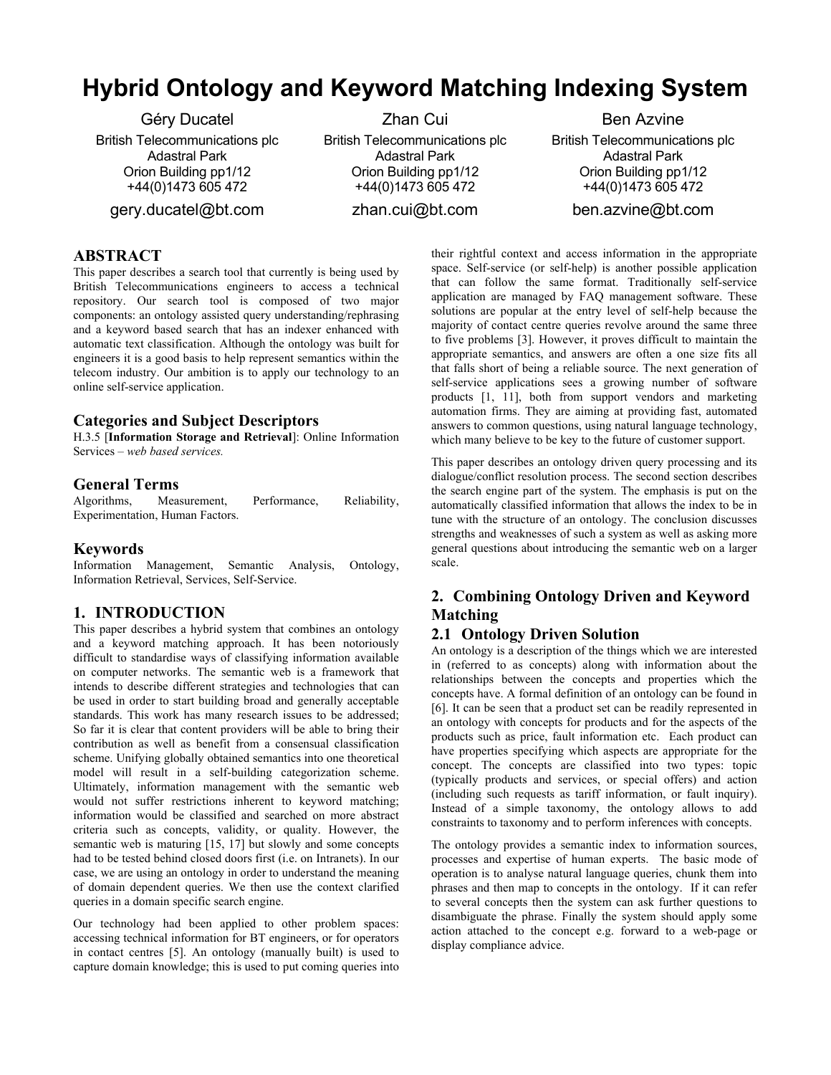# **Hybrid Ontology and Keyword Matching Indexing System**

Géry Ducatel British Telecommunications plc Adastral Park Orion Building pp1/12 +44(0)1473 605 472

gery.ducatel@bt.com

Zhan Cui British Telecommunications plc Adastral Park Orion Building pp1/12 +44(0)1473 605 472

zhan.cui@bt.com

Ben Azvine British Telecommunications plc Adastral Park Orion Building pp1/12 +44(0)1473 605 472 ben.azvine@bt.com

# **ABSTRACT**

This paper describes a search tool that currently is being used by British Telecommunications engineers to access a technical repository. Our search tool is composed of two major components: an ontology assisted query understanding/rephrasing and a keyword based search that has an indexer enhanced with automatic text classification. Although the ontology was built for engineers it is a good basis to help represent semantics within the telecom industry. Our ambition is to apply our technology to an online self-service application.

## **Categories and Subject Descriptors**

H.3.5 [**Information Storage and Retrieval**]: Online Information Services – *web based services.*

## **General Terms**

Algorithms, Measurement, Performance, Reliability, Experimentation, Human Factors.

## **Keywords**

Information Management, Semantic Analysis, Ontology, Information Retrieval, Services, Self-Service.

## **1. INTRODUCTION**

This paper describes a hybrid system that combines an ontology and a keyword matching approach. It has been notoriously difficult to standardise ways of classifying information available on computer networks. The semantic web is a framework that intends to describe different strategies and technologies that can be used in order to start building broad and generally acceptable standards. This work has many research issues to be addressed; So far it is clear that content providers will be able to bring their contribution as well as benefit from a consensual classification scheme. Unifying globally obtained semantics into one theoretical model will result in a self-building categorization scheme. Ultimately, information management with the semantic web would not suffer restrictions inherent to keyword matching; information would be classified and searched on more abstract criteria such as concepts, validity, or quality. However, the semantic web is maturing [15, 17] but slowly and some concepts had to be tested behind closed doors first (i.e. on Intranets). In our case, we are using an ontology in order to understand the meaning of domain dependent queries. We then use the context clarified queries in a domain specific search engine.

Our technology had been applied to other problem spaces: accessing technical information for BT engineers, or for operators in contact centres [5]. An ontology (manually built) is used to capture domain knowledge; this is used to put coming queries into

their rightful context and access information in the appropriate space. Self-service (or self-help) is another possible application that can follow the same format. Traditionally self-service application are managed by FAQ management software. These solutions are popular at the entry level of self-help because the majority of contact centre queries revolve around the same three to five problems [3]. However, it proves difficult to maintain the appropriate semantics, and answers are often a one size fits all that falls short of being a reliable source. The next generation of self-service applications sees a growing number of software products [1, 11], both from support vendors and marketing automation firms. They are aiming at providing fast, automated answers to common questions, using natural language technology, which many believe to be key to the future of customer support.

This paper describes an ontology driven query processing and its dialogue/conflict resolution process. The second section describes the search engine part of the system. The emphasis is put on the automatically classified information that allows the index to be in tune with the structure of an ontology. The conclusion discusses strengths and weaknesses of such a system as well as asking more general questions about introducing the semantic web on a larger scale.

# **2. Combining Ontology Driven and Keyword Matching**

## **2.1 Ontology Driven Solution**

An ontology is a description of the things which we are interested in (referred to as concepts) along with information about the relationships between the concepts and properties which the concepts have. A formal definition of an ontology can be found in [6]. It can be seen that a product set can be readily represented in an ontology with concepts for products and for the aspects of the products such as price, fault information etc. Each product can have properties specifying which aspects are appropriate for the concept. The concepts are classified into two types: topic (typically products and services, or special offers) and action (including such requests as tariff information, or fault inquiry). Instead of a simple taxonomy, the ontology allows to add constraints to taxonomy and to perform inferences with concepts.

The ontology provides a semantic index to information sources, processes and expertise of human experts. The basic mode of operation is to analyse natural language queries, chunk them into phrases and then map to concepts in the ontology. If it can refer to several concepts then the system can ask further questions to disambiguate the phrase. Finally the system should apply some action attached to the concept e.g. forward to a web-page or display compliance advice.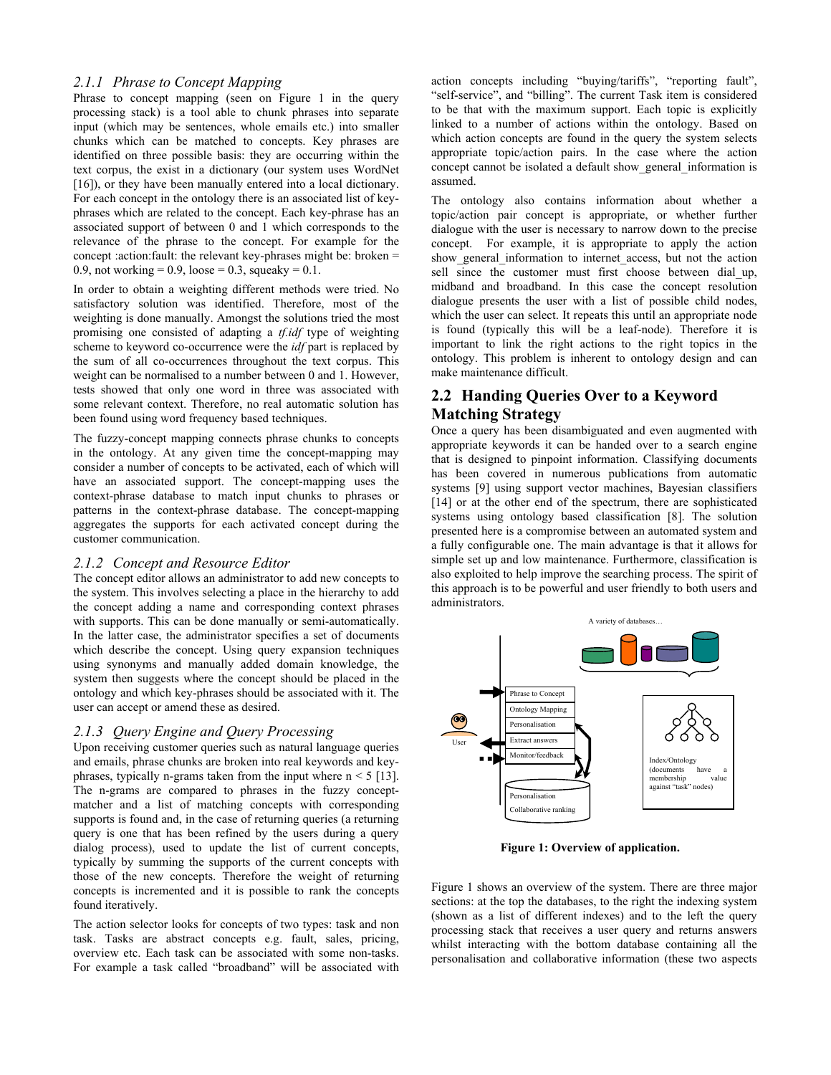#### *2.1.1 Phrase to Concept Mapping*

Phrase to concept mapping (seen on Figure 1 in the query processing stack) is a tool able to chunk phrases into separate input (which may be sentences, whole emails etc.) into smaller chunks which can be matched to concepts. Key phrases are identified on three possible basis: they are occurring within the text corpus, the exist in a dictionary (our system uses WordNet [16]), or they have been manually entered into a local dictionary. For each concept in the ontology there is an associated list of keyphrases which are related to the concept. Each key-phrase has an associated support of between 0 and 1 which corresponds to the relevance of the phrase to the concept. For example for the concept :action:fault: the relevant key-phrases might be: broken = 0.9, not working = 0.9, loose = 0.3, squeaky = 0.1.

In order to obtain a weighting different methods were tried. No satisfactory solution was identified. Therefore, most of the weighting is done manually. Amongst the solutions tried the most promising one consisted of adapting a *tf.idf* type of weighting scheme to keyword co-occurrence were the *idf* part is replaced by the sum of all co-occurrences throughout the text corpus. This weight can be normalised to a number between 0 and 1. However, tests showed that only one word in three was associated with some relevant context. Therefore, no real automatic solution has been found using word frequency based techniques.

The fuzzy-concept mapping connects phrase chunks to concepts in the ontology. At any given time the concept-mapping may consider a number of concepts to be activated, each of which will have an associated support. The concept-mapping uses the context-phrase database to match input chunks to phrases or patterns in the context-phrase database. The concept-mapping aggregates the supports for each activated concept during the customer communication.

#### *2.1.2 Concept and Resource Editor*

The concept editor allows an administrator to add new concepts to the system. This involves selecting a place in the hierarchy to add the concept adding a name and corresponding context phrases with supports. This can be done manually or semi-automatically. In the latter case, the administrator specifies a set of documents which describe the concept. Using query expansion techniques using synonyms and manually added domain knowledge, the system then suggests where the concept should be placed in the ontology and which key-phrases should be associated with it. The user can accept or amend these as desired.

#### *2.1.3 Query Engine and Query Processing*

Upon receiving customer queries such as natural language queries and emails, phrase chunks are broken into real keywords and keyphrases, typically n-grams taken from the input where  $n < 5$  [13]. The n-grams are compared to phrases in the fuzzy conceptmatcher and a list of matching concepts with corresponding supports is found and, in the case of returning queries (a returning query is one that has been refined by the users during a query dialog process), used to update the list of current concepts, typically by summing the supports of the current concepts with those of the new concepts. Therefore the weight of returning concepts is incremented and it is possible to rank the concepts found iteratively.

The action selector looks for concepts of two types: task and non task. Tasks are abstract concepts e.g. fault, sales, pricing, overview etc. Each task can be associated with some non-tasks. For example a task called "broadband" will be associated with action concepts including "buying/tariffs", "reporting fault", "self-service", and "billing". The current Task item is considered to be that with the maximum support. Each topic is explicitly linked to a number of actions within the ontology. Based on which action concepts are found in the query the system selects appropriate topic/action pairs. In the case where the action concept cannot be isolated a default show\_general\_information is assumed.

The ontology also contains information about whether a topic/action pair concept is appropriate, or whether further dialogue with the user is necessary to narrow down to the precise concept. For example, it is appropriate to apply the action show general information to internet access, but not the action sell since the customer must first choose between dial up, midband and broadband. In this case the concept resolution dialogue presents the user with a list of possible child nodes, which the user can select. It repeats this until an appropriate node is found (typically this will be a leaf-node). Therefore it is important to link the right actions to the right topics in the ontology. This problem is inherent to ontology design and can make maintenance difficult.

## **2.2 Handing Queries Over to a Keyword Matching Strategy**

Once a query has been disambiguated and even augmented with appropriate keywords it can be handed over to a search engine that is designed to pinpoint information. Classifying documents has been covered in numerous publications from automatic systems [9] using support vector machines. Bayesian classifiers [14] or at the other end of the spectrum, there are sophisticated systems using ontology based classification [8]. The solution presented here is a compromise between an automated system and a fully configurable one. The main advantage is that it allows for simple set up and low maintenance. Furthermore, classification is also exploited to help improve the searching process. The spirit of this approach is to be powerful and user friendly to both users and administrators.



**Figure 1: Overview of application.** 

Figure 1 shows an overview of the system. There are three major sections: at the top the databases, to the right the indexing system (shown as a list of different indexes) and to the left the query processing stack that receives a user query and returns answers whilst interacting with the bottom database containing all the personalisation and collaborative information (these two aspects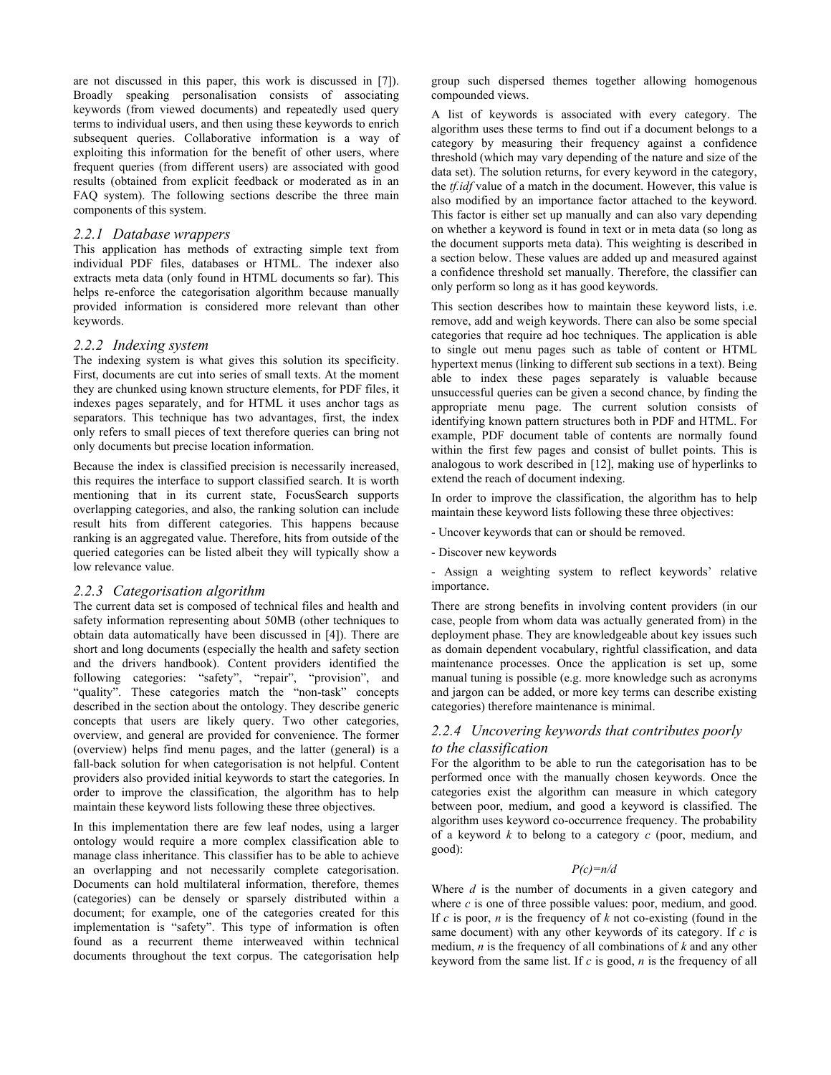are not discussed in this paper, this work is discussed in [7]). Broadly speaking personalisation consists of associating keywords (from viewed documents) and repeatedly used query terms to individual users, and then using these keywords to enrich subsequent queries. Collaborative information is a way of exploiting this information for the benefit of other users, where frequent queries (from different users) are associated with good results (obtained from explicit feedback or moderated as in an FAQ system). The following sections describe the three main components of this system.

#### *2.2.1 Database wrappers*

This application has methods of extracting simple text from individual PDF files, databases or HTML. The indexer also extracts meta data (only found in HTML documents so far). This helps re-enforce the categorisation algorithm because manually provided information is considered more relevant than other keywords.

#### *2.2.2 Indexing system*

The indexing system is what gives this solution its specificity. First, documents are cut into series of small texts. At the moment they are chunked using known structure elements, for PDF files, it indexes pages separately, and for HTML it uses anchor tags as separators. This technique has two advantages, first, the index only refers to small pieces of text therefore queries can bring not only documents but precise location information.

Because the index is classified precision is necessarily increased, this requires the interface to support classified search. It is worth mentioning that in its current state, FocusSearch supports overlapping categories, and also, the ranking solution can include result hits from different categories. This happens because ranking is an aggregated value. Therefore, hits from outside of the queried categories can be listed albeit they will typically show a low relevance value.

#### *2.2.3 Categorisation algorithm*

The current data set is composed of technical files and health and safety information representing about 50MB (other techniques to obtain data automatically have been discussed in [4]). There are short and long documents (especially the health and safety section and the drivers handbook). Content providers identified the following categories: "safety", "repair", "provision", and "quality". These categories match the "non-task" concepts described in the section about the ontology. They describe generic concepts that users are likely query. Two other categories, overview, and general are provided for convenience. The former (overview) helps find menu pages, and the latter (general) is a fall-back solution for when categorisation is not helpful. Content providers also provided initial keywords to start the categories. In order to improve the classification, the algorithm has to help maintain these keyword lists following these three objectives.

In this implementation there are few leaf nodes, using a larger ontology would require a more complex classification able to manage class inheritance. This classifier has to be able to achieve an overlapping and not necessarily complete categorisation. Documents can hold multilateral information, therefore, themes (categories) can be densely or sparsely distributed within a document; for example, one of the categories created for this implementation is "safety". This type of information is often found as a recurrent theme interweaved within technical documents throughout the text corpus. The categorisation help

group such dispersed themes together allowing homogenous compounded views.

A list of keywords is associated with every category. The algorithm uses these terms to find out if a document belongs to a category by measuring their frequency against a confidence threshold (which may vary depending of the nature and size of the data set). The solution returns, for every keyword in the category, the *tf.idf* value of a match in the document. However, this value is also modified by an importance factor attached to the keyword. This factor is either set up manually and can also vary depending on whether a keyword is found in text or in meta data (so long as the document supports meta data). This weighting is described in a section below. These values are added up and measured against a confidence threshold set manually. Therefore, the classifier can only perform so long as it has good keywords.

This section describes how to maintain these keyword lists, i.e. remove, add and weigh keywords. There can also be some special categories that require ad hoc techniques. The application is able to single out menu pages such as table of content or HTML hypertext menus (linking to different sub sections in a text). Being able to index these pages separately is valuable because unsuccessful queries can be given a second chance, by finding the appropriate menu page. The current solution consists of identifying known pattern structures both in PDF and HTML. For example, PDF document table of contents are normally found within the first few pages and consist of bullet points. This is analogous to work described in [12], making use of hyperlinks to extend the reach of document indexing.

In order to improve the classification, the algorithm has to help maintain these keyword lists following these three objectives:

- Uncover keywords that can or should be removed.

- Discover new keywords

- Assign a weighting system to reflect keywords' relative importance.

There are strong benefits in involving content providers (in our case, people from whom data was actually generated from) in the deployment phase. They are knowledgeable about key issues such as domain dependent vocabulary, rightful classification, and data maintenance processes. Once the application is set up, some manual tuning is possible (e.g. more knowledge such as acronyms and jargon can be added, or more key terms can describe existing categories) therefore maintenance is minimal.

#### *2.2.4 Uncovering keywords that contributes poorly to the classification*

For the algorithm to be able to run the categorisation has to be performed once with the manually chosen keywords. Once the categories exist the algorithm can measure in which category between poor, medium, and good a keyword is classified. The algorithm uses keyword co-occurrence frequency. The probability of a keyword *k* to belong to a category *c* (poor, medium, and good):

#### *P(c)=n/d*

Where *d* is the number of documents in a given category and where *c* is one of three possible values: poor, medium, and good. If *c* is poor, *n* is the frequency of *k* not co-existing (found in the same document) with any other keywords of its category. If *c* is medium, *n* is the frequency of all combinations of *k* and any other keyword from the same list. If *c* is good, *n* is the frequency of all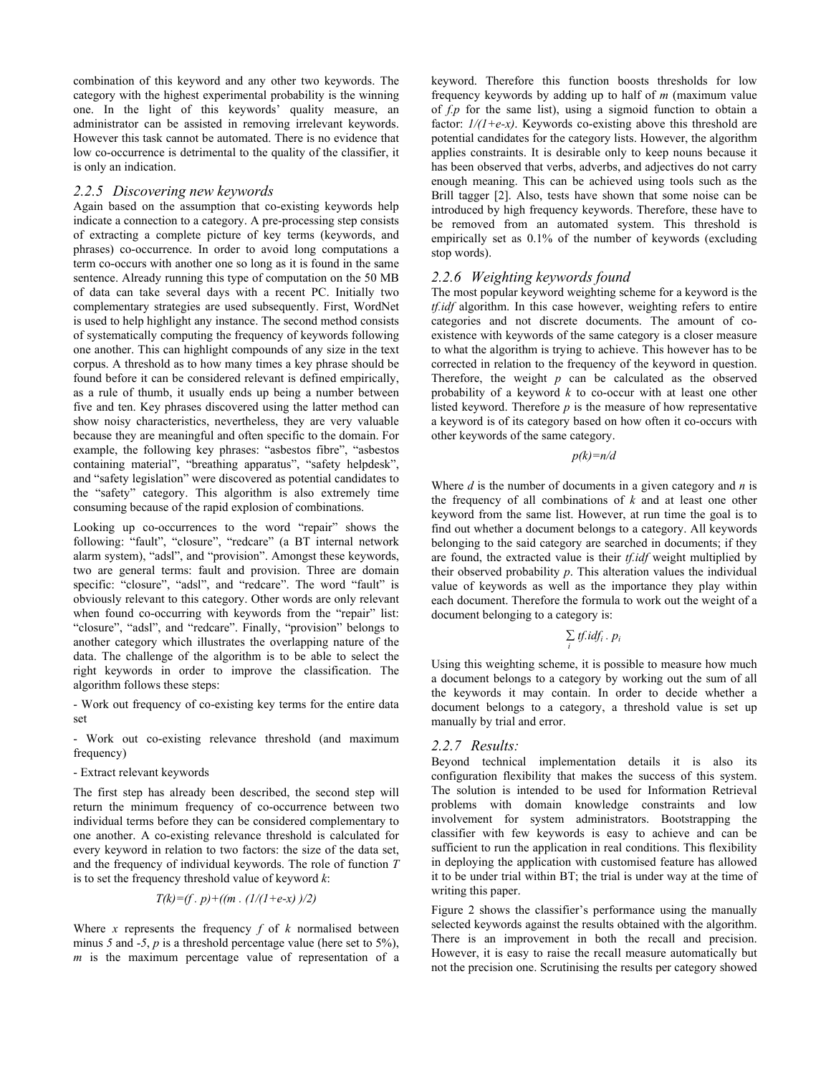combination of this keyword and any other two keywords. The category with the highest experimental probability is the winning one. In the light of this keywords' quality measure, an administrator can be assisted in removing irrelevant keywords. However this task cannot be automated. There is no evidence that low co-occurrence is detrimental to the quality of the classifier, it is only an indication.

#### *2.2.5 Discovering new keywords*

Again based on the assumption that co-existing keywords help indicate a connection to a category. A pre-processing step consists of extracting a complete picture of key terms (keywords, and phrases) co-occurrence. In order to avoid long computations a term co-occurs with another one so long as it is found in the same sentence. Already running this type of computation on the 50 MB of data can take several days with a recent PC. Initially two complementary strategies are used subsequently. First, WordNet is used to help highlight any instance. The second method consists of systematically computing the frequency of keywords following one another. This can highlight compounds of any size in the text corpus. A threshold as to how many times a key phrase should be found before it can be considered relevant is defined empirically, as a rule of thumb, it usually ends up being a number between five and ten. Key phrases discovered using the latter method can show noisy characteristics, nevertheless, they are very valuable because they are meaningful and often specific to the domain. For example, the following key phrases: "asbestos fibre", "asbestos containing material", "breathing apparatus", "safety helpdesk", and "safety legislation" were discovered as potential candidates to the "safety" category. This algorithm is also extremely time consuming because of the rapid explosion of combinations.

Looking up co-occurrences to the word "repair" shows the following: "fault", "closure", "redcare" (a BT internal network alarm system), "adsl", and "provision". Amongst these keywords, two are general terms: fault and provision. Three are domain specific: "closure", "adsl", and "redcare". The word "fault" is obviously relevant to this category. Other words are only relevant when found co-occurring with keywords from the "repair" list: "closure", "adsl", and "redcare". Finally, "provision" belongs to another category which illustrates the overlapping nature of the data. The challenge of the algorithm is to be able to select the right keywords in order to improve the classification. The algorithm follows these steps:

- Work out frequency of co-existing key terms for the entire data set

- Work out co-existing relevance threshold (and maximum frequency)

#### - Extract relevant keywords

The first step has already been described, the second step will return the minimum frequency of co-occurrence between two individual terms before they can be considered complementary to one another. A co-existing relevance threshold is calculated for every keyword in relation to two factors: the size of the data set, and the frequency of individual keywords. The role of function *T* is to set the frequency threshold value of keyword *k*:

$$
T(k)=(f, p) + ((m. (1/(1+e-x))/2))
$$

Where  $x$  represents the frequency  $f$  of  $k$  normalised between minus 5 and -5,  $p$  is a threshold percentage value (here set to 5%), *m* is the maximum percentage value of representation of a keyword. Therefore this function boosts thresholds for low frequency keywords by adding up to half of *m* (maximum value of *f.p* for the same list), using a sigmoid function to obtain a factor: *1/(1+e-x)*. Keywords co-existing above this threshold are potential candidates for the category lists. However, the algorithm applies constraints. It is desirable only to keep nouns because it has been observed that verbs, adverbs, and adjectives do not carry enough meaning. This can be achieved using tools such as the Brill tagger [2]. Also, tests have shown that some noise can be introduced by high frequency keywords. Therefore, these have to be removed from an automated system. This threshold is empirically set as 0.1% of the number of keywords (excluding stop words).

#### *2.2.6 Weighting keywords found*

The most popular keyword weighting scheme for a keyword is the *tf.idf* algorithm. In this case however, weighting refers to entire categories and not discrete documents. The amount of coexistence with keywords of the same category is a closer measure to what the algorithm is trying to achieve. This however has to be corrected in relation to the frequency of the keyword in question. Therefore, the weight *p* can be calculated as the observed probability of a keyword *k* to co-occur with at least one other listed keyword. Therefore *p* is the measure of how representative a keyword is of its category based on how often it co-occurs with other keywords of the same category.

*p(k)=n/d* 

Where *d* is the number of documents in a given category and *n* is the frequency of all combinations of *k* and at least one other keyword from the same list. However, at run time the goal is to find out whether a document belongs to a category. All keywords belonging to the said category are searched in documents; if they are found, the extracted value is their *tf.idf* weight multiplied by their observed probability *p*. This alteration values the individual value of keywords as well as the importance they play within each document. Therefore the formula to work out the weight of a document belonging to a category is:

 $\sum$ *tf.idf<sub>i</sub>* .  $p_i$  *<sup>i</sup>*

Using this weighting scheme, it is possible to measure how much a document belongs to a category by working out the sum of all the keywords it may contain. In order to decide whether a document belongs to a category, a threshold value is set up manually by trial and error.

#### *2.2.7 Results:*

Beyond technical implementation details it is also its configuration flexibility that makes the success of this system. The solution is intended to be used for Information Retrieval problems with domain knowledge constraints and low involvement for system administrators. Bootstrapping the classifier with few keywords is easy to achieve and can be sufficient to run the application in real conditions. This flexibility in deploying the application with customised feature has allowed it to be under trial within BT; the trial is under way at the time of writing this paper.

Figure 2 shows the classifier's performance using the manually selected keywords against the results obtained with the algorithm. There is an improvement in both the recall and precision. However, it is easy to raise the recall measure automatically but not the precision one. Scrutinising the results per category showed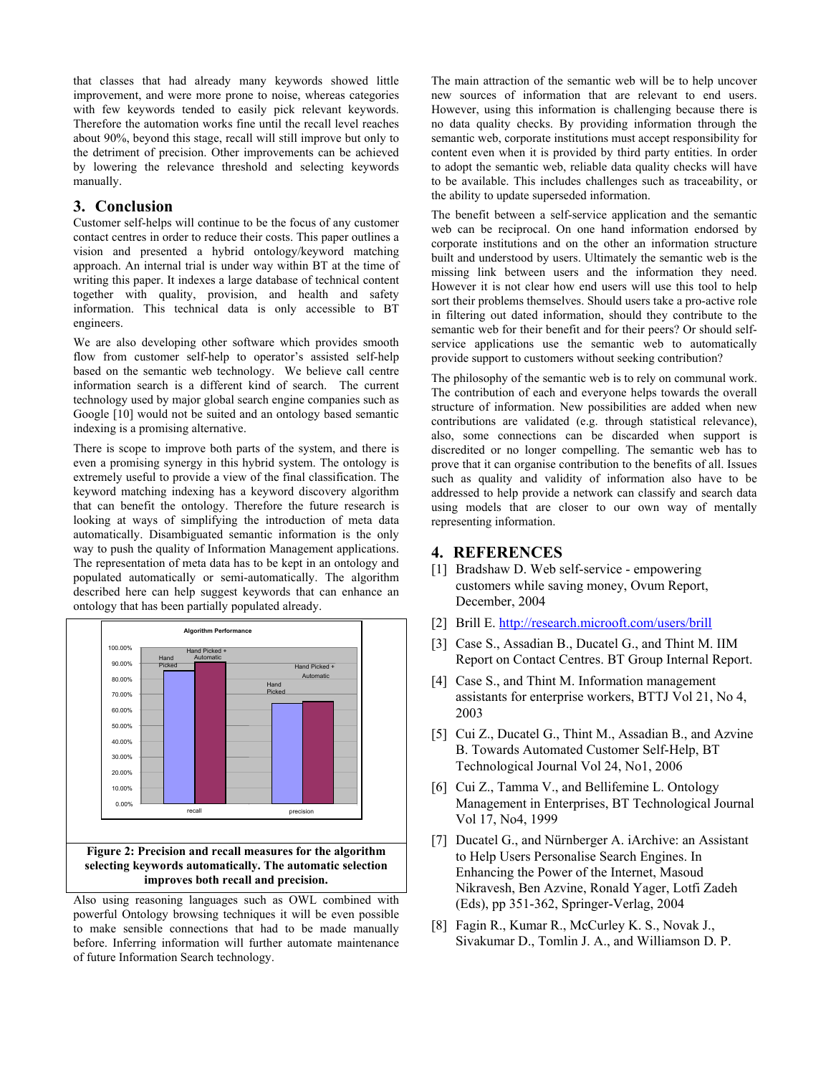that classes that had already many keywords showed little improvement, and were more prone to noise, whereas categories with few keywords tended to easily pick relevant keywords. Therefore the automation works fine until the recall level reaches about 90%, beyond this stage, recall will still improve but only to the detriment of precision. Other improvements can be achieved by lowering the relevance threshold and selecting keywords manually.

### **3. Conclusion**

Customer self-helps will continue to be the focus of any customer contact centres in order to reduce their costs. This paper outlines a vision and presented a hybrid ontology/keyword matching approach. An internal trial is under way within BT at the time of writing this paper. It indexes a large database of technical content together with quality, provision, and health and safety information. This technical data is only accessible to BT engineers.

We are also developing other software which provides smooth flow from customer self-help to operator's assisted self-help based on the semantic web technology. We believe call centre information search is a different kind of search. The current technology used by major global search engine companies such as Google [10] would not be suited and an ontology based semantic indexing is a promising alternative.

There is scope to improve both parts of the system, and there is even a promising synergy in this hybrid system. The ontology is extremely useful to provide a view of the final classification. The keyword matching indexing has a keyword discovery algorithm that can benefit the ontology. Therefore the future research is looking at ways of simplifying the introduction of meta data automatically. Disambiguated semantic information is the only way to push the quality of Information Management applications. The representation of meta data has to be kept in an ontology and populated automatically or semi-automatically. The algorithm described here can help suggest keywords that can enhance an ontology that has been partially populated already.



Also using reasoning languages such as OWL combined with powerful Ontology browsing techniques it will be even possible to make sensible connections that had to be made manually before. Inferring information will further automate maintenance of future Information Search technology.

The main attraction of the semantic web will be to help uncover new sources of information that are relevant to end users. However, using this information is challenging because there is no data quality checks. By providing information through the semantic web, corporate institutions must accept responsibility for content even when it is provided by third party entities. In order to adopt the semantic web, reliable data quality checks will have to be available. This includes challenges such as traceability, or the ability to update superseded information.

The benefit between a self-service application and the semantic web can be reciprocal. On one hand information endorsed by corporate institutions and on the other an information structure built and understood by users. Ultimately the semantic web is the missing link between users and the information they need. However it is not clear how end users will use this tool to help sort their problems themselves. Should users take a pro-active role in filtering out dated information, should they contribute to the semantic web for their benefit and for their peers? Or should selfservice applications use the semantic web to automatically provide support to customers without seeking contribution?

The philosophy of the semantic web is to rely on communal work. The contribution of each and everyone helps towards the overall structure of information. New possibilities are added when new contributions are validated (e.g. through statistical relevance), also, some connections can be discarded when support is discredited or no longer compelling. The semantic web has to prove that it can organise contribution to the benefits of all. Issues such as quality and validity of information also have to be addressed to help provide a network can classify and search data using models that are closer to our own way of mentally representing information.

# **4. REFERENCES**

- [1] Bradshaw D. Web self-service empowering customers while saving money, Ovum Report, December, 2004
- [2] Brill E. http://research.microoft.com/users/brill
- [3] Case S., Assadian B., Ducatel G., and Thint M. IIM Report on Contact Centres. BT Group Internal Report.
- [4] Case S., and Thint M. Information management assistants for enterprise workers, BTTJ Vol 21, No 4, 2003
- [5] Cui Z., Ducatel G., Thint M., Assadian B., and Azvine B. Towards Automated Customer Self-Help, BT Technological Journal Vol 24, No1, 2006
- [6] Cui Z., Tamma V., and Bellifemine L. Ontology Management in Enterprises, BT Technological Journal Vol 17, No4, 1999
- [7] Ducatel G., and Nürnberger A. iArchive: an Assistant to Help Users Personalise Search Engines. In Enhancing the Power of the Internet, Masoud Nikravesh, Ben Azvine, Ronald Yager, Lotfi Zadeh (Eds), pp 351-362, Springer-Verlag, 2004
- [8] Fagin R., Kumar R., McCurley K. S., Novak J., Sivakumar D., Tomlin J. A., and Williamson D. P.